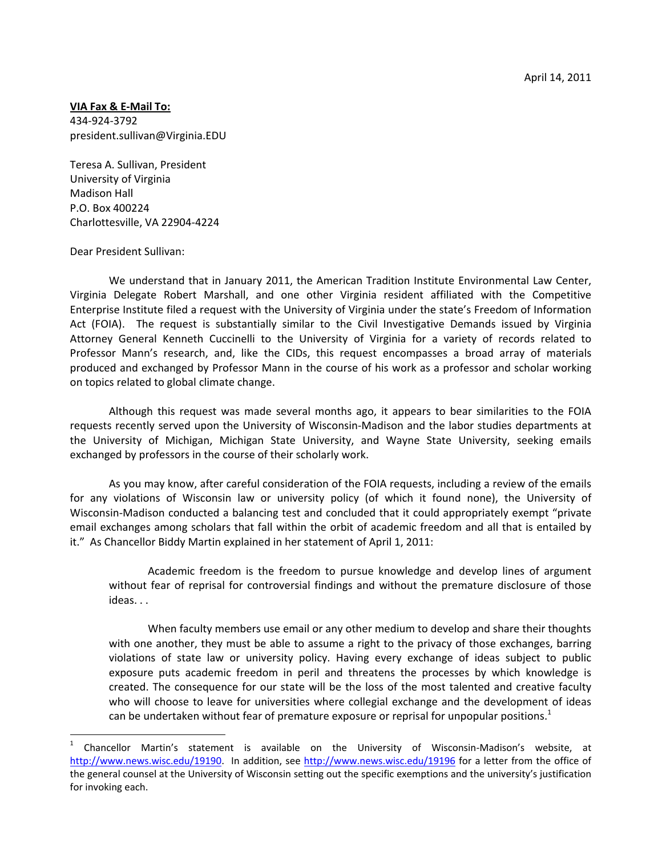## **VIA Fax & E‐Mail To:**

434‐924‐3792 president.sullivan@Virginia.EDU

Teresa A. Sullivan, President University of Virginia Madison Hall P.O. Box 400224 Charlottesville, VA 22904‐4224

## Dear President Sullivan:

 $\overline{a}$ 

We understand that in January 2011, the American Tradition Institute Environmental Law Center, Virginia Delegate Robert Marshall, and one other Virginia resident affiliated with the Competitive Enterprise Institute filed a request with the University of Virginia under the state's Freedom of Information Act (FOIA). The request is substantially similar to the Civil Investigative Demands issued by Virginia Attorney General Kenneth Cuccinelli to the University of Virginia for a variety of records related to Professor Mann's research, and, like the CIDs, this request encompasses a broad array of materials produced and exchanged by Professor Mann in the course of his work as a professor and scholar working on topics related to global climate change.

Although this request was made several months ago, it appears to bear similarities to the FOIA requests recently served upon the University of Wisconsin‐Madison and the labor studies departments at the University of Michigan, Michigan State University, and Wayne State University, seeking emails exchanged by professors in the course of their scholarly work.

As you may know, after careful consideration of the FOIA requests, including a review of the emails for any violations of Wisconsin law or university policy (of which it found none), the University of Wisconsin‐Madison conducted a balancing test and concluded that it could appropriately exempt "private email exchanges among scholars that fall within the orbit of academic freedom and all that is entailed by it." As Chancellor Biddy Martin explained in her statement of April 1, 2011:

Academic freedom is the freedom to pursue knowledge and develop lines of argument without fear of reprisal for controversial findings and without the premature disclosure of those ideas. . .

When faculty members use email or any other medium to develop and share their thoughts with one another, they must be able to assume a right to the privacy of those exchanges, barring violations of state law or university policy. Having every exchange of ideas subject to public exposure puts academic freedom in peril and threatens the processes by which knowledge is created. The consequence for our state will be the loss of the most talented and creative faculty who will choose to leave for universities where collegial exchange and the development of ideas can be undertaken without fear of premature exposure or reprisal for unpopular positions. $1$ 

<sup>1</sup> Chancellor Martin's statement is available on the University of Wisconsin‐Madison's website, at http://www.news.wisc.edu/19190. In addition, see http://www.news.wisc.edu/19196 for a letter from the office of the general counsel at the University of Wisconsin setting out the specific exemptions and the university's justification for invoking each.